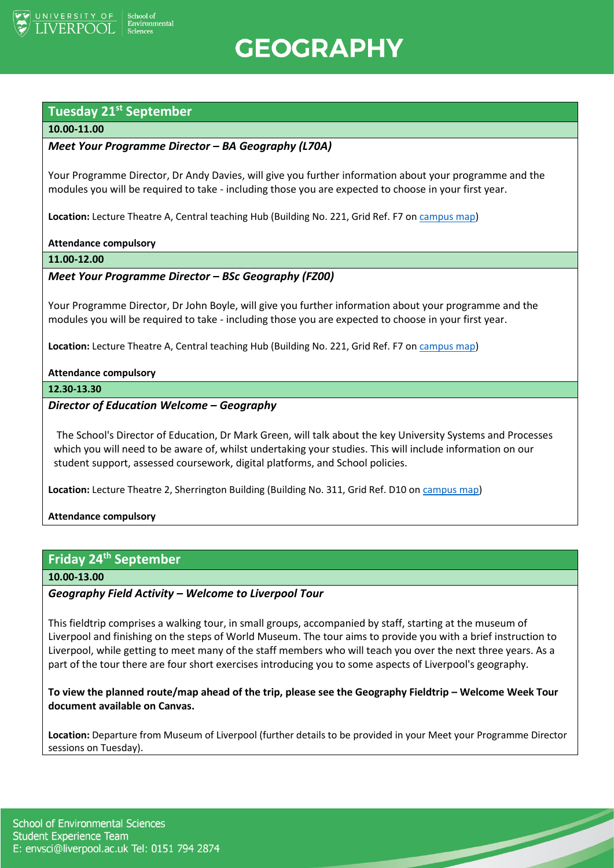

**GEOGRAPHY** 

# **Tuesday 21st September**

# **10.00-11.00**

# *Meet Your Programme Director – BA Geography (L70A)*

Your Programme Director, Dr Andy Davies, will give you further information about your programme and the modules you will be required to take - including those you are expected to choose in your first year.

**Location:** Lecture Theatre A, Central teaching Hub (Building No. 221, Grid Ref. F7 o[n campus map\)](https://www.liverpool.ac.uk/media/livacuk/maps/Campus,Map,2020_0903.pdf)

#### **Attendance compulsory**

**11.00-12.00**

# *Meet Your Programme Director – BSc Geography (FZ00)*

Your Programme Director, Dr John Boyle, will give you further information about your programme and the modules you will be required to take - including those you are expected to choose in your first year.

**Location:** Lecture Theatre A, Central teaching Hub (Building No. 221, Grid Ref. F7 o[n campus map\)](https://www.liverpool.ac.uk/media/livacuk/maps/Campus,Map,2020_0903.pdf)

#### **Attendance compulsory**

**12.30-13.30**

## *Director of Education Welcome – Geography*

The School's Director of Education, Dr Mark Green, will talk about the key University Systems and Processes which you will need to be aware of, whilst undertaking your studies. This will include information on our student support, assessed coursework, digital platforms, and School policies.

**Location:** Lecture Theatre 2, Sherrington Building (Building No. 311, Grid Ref. D10 on [campus map\)](https://www.liverpool.ac.uk/media/livacuk/maps/Campus,Map,2020_0903.pdf)

**Attendance compulsory**

# **Friday 24 th September**

**10.00-13.00**

# *Geography Field Activity – Welcome to Liverpool Tour*

This fieldtrip comprises a walking tour, in small groups, accompanied by staff, starting at the museum of Liverpool and finishing on the steps of World Museum. The tour aims to provide you with a brief instruction to Liverpool, while getting to meet many of the staff members who will teach you over the next three years. As a part of the tour there are four short exercises introducing you to some aspects of Liverpool's geography.

To view the planned route/map ahead of the trip, please see the Geography Fieldtrip – Welcome Week Tour **document available on Canvas.**

**Location:** Departure from Museum of Liverpool (further details to be provided in your Meet your Programme Director sessions on Tuesday).

 $\overline{\phantom{0}}$